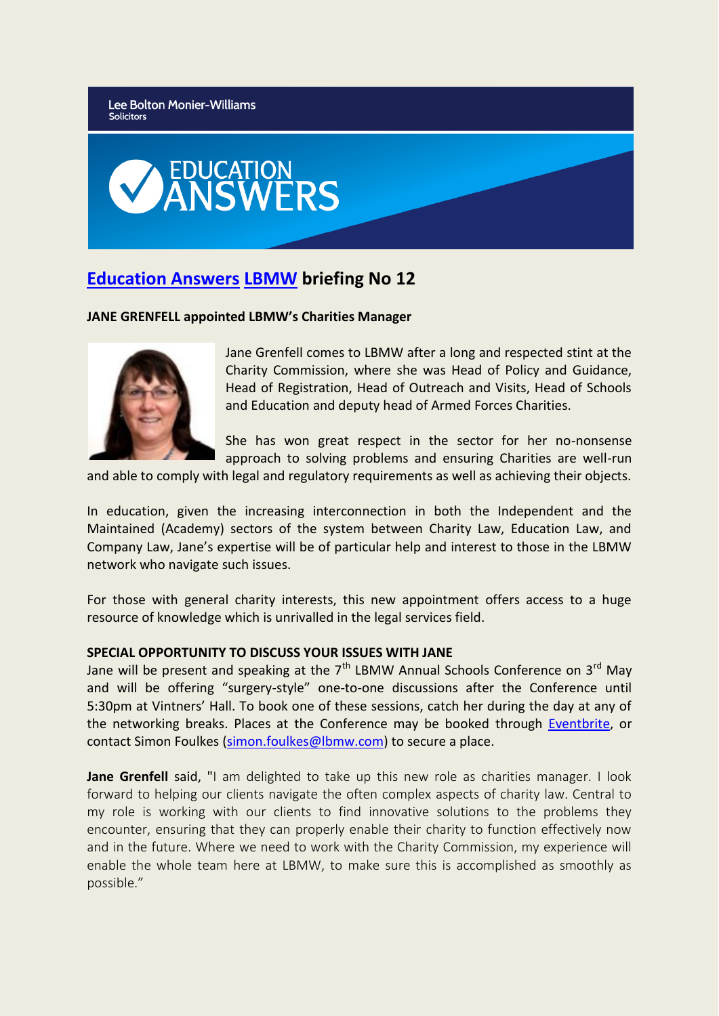Lee Bolton Monier-Williams **Solicitors** 



## **[Education Answers](http://www.educationanswers.co.uk/) [LBMW](http://www.lbmw.com/) briefing No 12**

## **JANE GRENFELL appointed LBMW's Charities Manager**



Jane Grenfell comes to LBMW after a long and respected stint at the Charity Commission, where she was Head of Policy and Guidance, Head of Registration, Head of Outreach and Visits, Head of Schools and Education and deputy head of Armed Forces Charities.

She has won great respect in the sector for her no-nonsense approach to solving problems and ensuring Charities are well-run

and able to comply with legal and regulatory requirements as well as achieving their objects.

In education, given the increasing interconnection in both the Independent and the Maintained (Academy) sectors of the system between Charity Law, Education Law, and Company Law, Jane's expertise will be of particular help and interest to those in the LBMW network who navigate such issues.

For those with general charity interests, this new appointment offers access to a huge resource of knowledge which is unrivalled in the legal services field.

## **SPECIAL OPPORTUNITY TO DISCUSS YOUR ISSUES WITH JANE**

Jane will be present and speaking at the  $7<sup>th</sup>$  LBMW Annual Schools Conference on  $3<sup>rd</sup>$  May and will be offering "surgery-style" one-to-one discussions after the Conference until 5:30pm at Vintners' Hall. To book one of these sessions, catch her during the day at any of the networking breaks. Places at the Conference may be booked through [Eventbrite,](https://www.eventbrite.co.uk/e/lbmw-schools-conference-charities-leading-change-3rd-may-2018-tickets-42867861929) or contact Simon Foulkes [\(simon.foulkes@lbmw.com\)](mailto:simon.foulkes@lbmw.com) to secure a place.

**Jane Grenfell** said, "I am delighted to take up this new role as charities manager. I look forward to helping our clients navigate the often complex aspects of charity law. Central to my role is working with our clients to find innovative solutions to the problems they encounter, ensuring that they can properly enable their charity to function effectively now and in the future. Where we need to work with the Charity Commission, my experience will enable the whole team here at LBMW, to make sure this is accomplished as smoothly as possible."